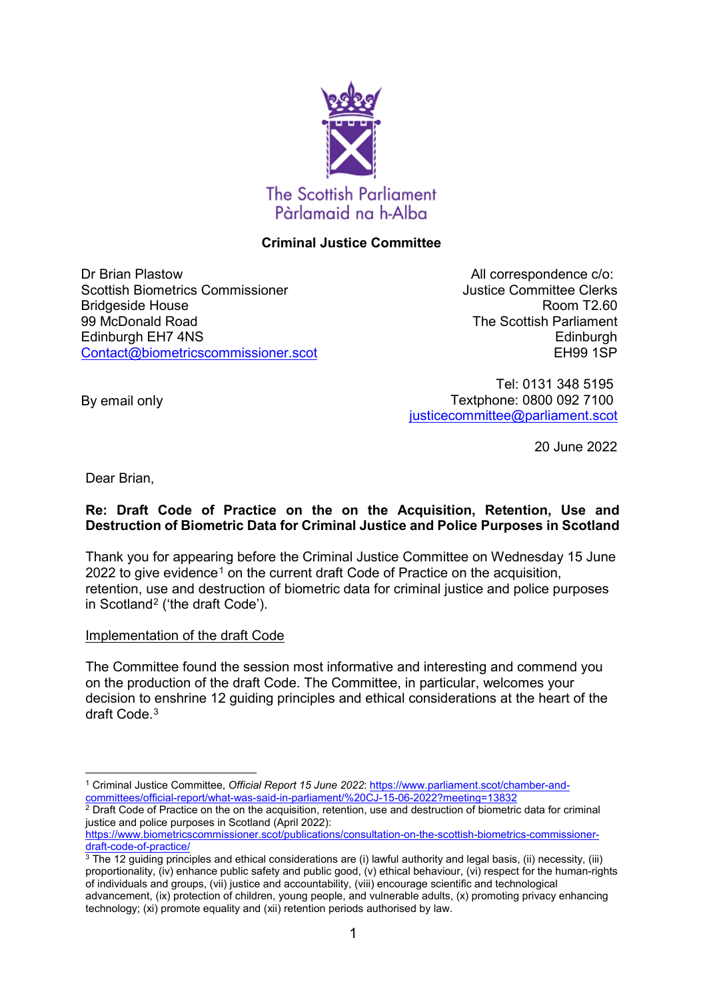

# **Criminal Justice Committee**

Dr Brian Plastow Scottish Biometrics Commissioner Bridgeside House 99 McDonald Road Edinburgh EH7 4NS [Contact@biometricscommissioner.scot](mailto:Contact@biometricscommissioner.scot)

All correspondence c/o: Justice Committee Clerks Room T2.60 The Scottish Parliament **Edinburgh** EH99 1SP

Tel: 0131 348 5195 Textphone: 0800 092 7100 [justicecommittee@parliament.scot](mailto:justicecommittee@parliament.scot)

20 June 2022

Dear Brian,

By email only

# **Re: Draft Code of Practice on the on the Acquisition, Retention, Use and Destruction of Biometric Data for Criminal Justice and Police Purposes in Scotland**

Thank you for appearing before the Criminal Justice Committee on Wednesday 15 June 2022 to give evidence<sup>1</sup> on the current draft Code of Practice on the acquisition, retention, use and destruction of biometric data for criminal justice and police purposes in Scotland[2](#page-0-1) ('the draft Code').

# Implementation of the draft Code

The Committee found the session most informative and interesting and commend you on the production of the draft Code. The Committee, in particular, welcomes your decision to enshrine 12 guiding principles and ethical considerations at the heart of the draft Code.[3](#page-0-2) 

<span id="page-0-0"></span><sup>-</sup><sup>1</sup> Criminal Justice Committee, *Official Report 15 June 2022*: [https://www.parliament.scot/chamber-and](https://www.parliament.scot/chamber-and-committees/official-report/what-was-said-in-parliament/%20CJ-15-06-2022?meeting=13832)[committees/official-report/what-was-said-in-parliament/%20CJ-15-06-2022?meeting=13832](https://www.parliament.scot/chamber-and-committees/official-report/what-was-said-in-parliament/%20CJ-15-06-2022?meeting=13832)

<span id="page-0-1"></span> $2$  Draft Code of Practice on the on the acquisition, retention, use and destruction of biometric data for criminal justice and police purposes in Scotland (April 2022):

[https://www.biometricscommissioner.scot/publications/consultation-on-the-scottish-biometrics-commissioner-](https://www.biometricscommissioner.scot/publications/consultation-on-the-scottish-biometrics-commissioner-draft-code-of-practice/)

<span id="page-0-2"></span>**The 12 guiding principles and ethical considerations are (i) lawful authority and legal basis, (ii) necessity, (iii)** proportionality, (iv) enhance public safety and public good, (v) ethical behaviour, (vi) respect for the human-rights of individuals and groups, (vii) justice and accountability, (viii) encourage scientific and technological advancement, (ix) protection of children, young people, and vulnerable adults, (x) promoting privacy enhancing technology; (xi) promote equality and (xii) retention periods authorised by law.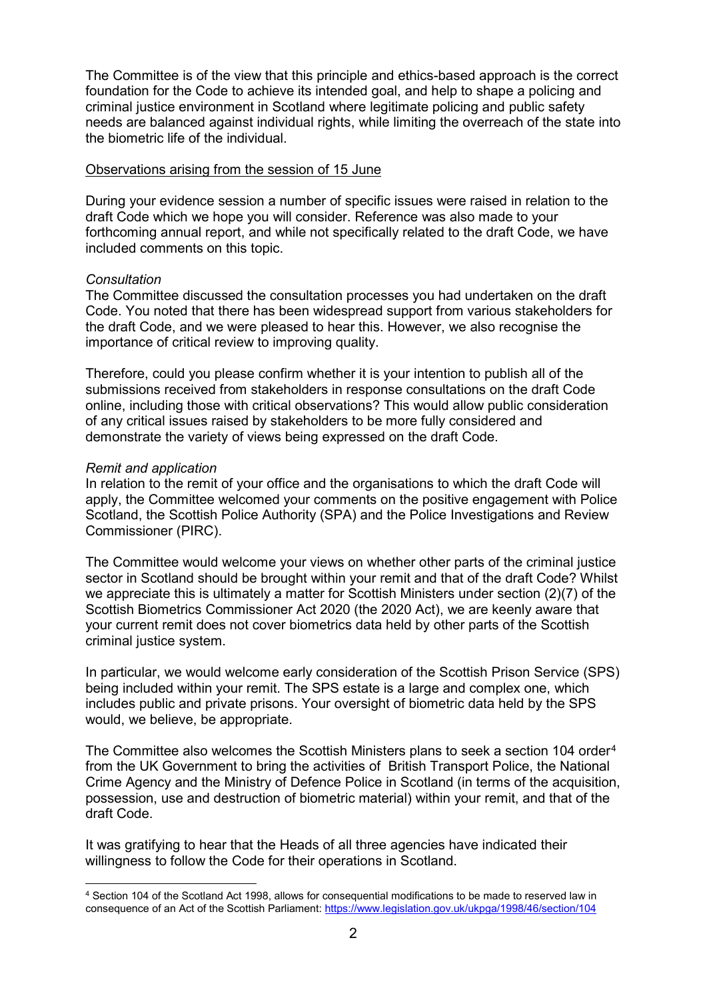The Committee is of the view that this principle and ethics-based approach is the correct foundation for the Code to achieve its intended goal, and help to shape a policing and criminal justice environment in Scotland where legitimate policing and public safety needs are balanced against individual rights, while limiting the overreach of the state into the biometric life of the individual.

#### Observations arising from the session of 15 June

During your evidence session a number of specific issues were raised in relation to the draft Code which we hope you will consider. Reference was also made to your forthcoming annual report, and while not specifically related to the draft Code, we have included comments on this topic.

## *Consultation*

The Committee discussed the consultation processes you had undertaken on the draft Code. You noted that there has been widespread support from various stakeholders for the draft Code, and we were pleased to hear this. However, we also recognise the importance of critical review to improving quality.

Therefore, could you please confirm whether it is your intention to publish all of the submissions received from stakeholders in response consultations on the draft Code online, including those with critical observations? This would allow public consideration of any critical issues raised by stakeholders to be more fully considered and demonstrate the variety of views being expressed on the draft Code.

#### *Remit and application*

In relation to the remit of your office and the organisations to which the draft Code will apply, the Committee welcomed your comments on the positive engagement with Police Scotland, the Scottish Police Authority (SPA) and the Police Investigations and Review Commissioner (PIRC).

The Committee would welcome your views on whether other parts of the criminal justice sector in Scotland should be brought within your remit and that of the draft Code? Whilst we appreciate this is ultimately a matter for Scottish Ministers under section (2)(7) of the Scottish Biometrics Commissioner Act 2020 (the 2020 Act), we are keenly aware that your current remit does not cover biometrics data held by other parts of the Scottish criminal justice system.

In particular, we would welcome early consideration of the Scottish Prison Service (SPS) being included within your remit. The SPS estate is a large and complex one, which includes public and private prisons. Your oversight of biometric data held by the SPS would, we believe, be appropriate.

The Committee also welcomes the Scottish Ministers plans to seek a section 10[4](#page-1-0) order<sup>4</sup> from the UK Government to bring the activities of British Transport Police, the National Crime Agency and the Ministry of Defence Police in Scotland (in terms of the acquisition, possession, use and destruction of biometric material) within your remit, and that of the draft Code.

It was gratifying to hear that the Heads of all three agencies have indicated their willingness to follow the Code for their operations in Scotland.

<span id="page-1-0"></span><sup>-</sup><sup>4</sup> Section 104 of the Scotland Act 1998, allows for consequential modifications to be made to reserved law in consequence of an Act of the Scottish Parliament[: https://www.legislation.gov.uk/ukpga/1998/46/section/104](https://www.legislation.gov.uk/ukpga/1998/46/section/104)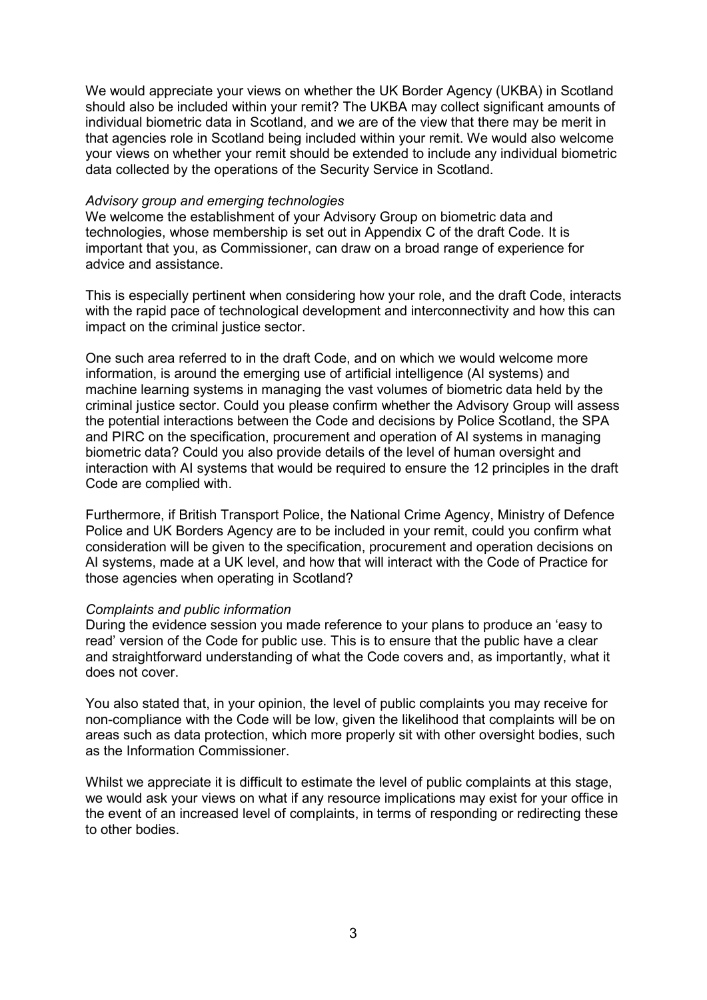We would appreciate your views on whether the UK Border Agency (UKBA) in Scotland should also be included within your remit? The UKBA may collect significant amounts of individual biometric data in Scotland, and we are of the view that there may be merit in that agencies role in Scotland being included within your remit. We would also welcome your views on whether your remit should be extended to include any individual biometric data collected by the operations of the Security Service in Scotland.

#### *Advisory group and emerging technologies*

We welcome the establishment of your Advisory Group on biometric data and technologies, whose membership is set out in Appendix C of the draft Code. It is important that you, as Commissioner, can draw on a broad range of experience for advice and assistance.

This is especially pertinent when considering how your role, and the draft Code, interacts with the rapid pace of technological development and interconnectivity and how this can impact on the criminal justice sector.

One such area referred to in the draft Code, and on which we would welcome more information, is around the emerging use of artificial intelligence (AI systems) and machine learning systems in managing the vast volumes of biometric data held by the criminal justice sector. Could you please confirm whether the Advisory Group will assess the potential interactions between the Code and decisions by Police Scotland, the SPA and PIRC on the specification, procurement and operation of AI systems in managing biometric data? Could you also provide details of the level of human oversight and interaction with AI systems that would be required to ensure the 12 principles in the draft Code are complied with.

Furthermore, if British Transport Police, the National Crime Agency, Ministry of Defence Police and UK Borders Agency are to be included in your remit, could you confirm what consideration will be given to the specification, procurement and operation decisions on AI systems, made at a UK level, and how that will interact with the Code of Practice for those agencies when operating in Scotland?

## *Complaints and public information*

During the evidence session you made reference to your plans to produce an 'easy to read' version of the Code for public use. This is to ensure that the public have a clear and straightforward understanding of what the Code covers and, as importantly, what it does not cover.

You also stated that, in your opinion, the level of public complaints you may receive for non-compliance with the Code will be low, given the likelihood that complaints will be on areas such as data protection, which more properly sit with other oversight bodies, such as the Information Commissioner.

Whilst we appreciate it is difficult to estimate the level of public complaints at this stage, we would ask your views on what if any resource implications may exist for your office in the event of an increased level of complaints, in terms of responding or redirecting these to other bodies.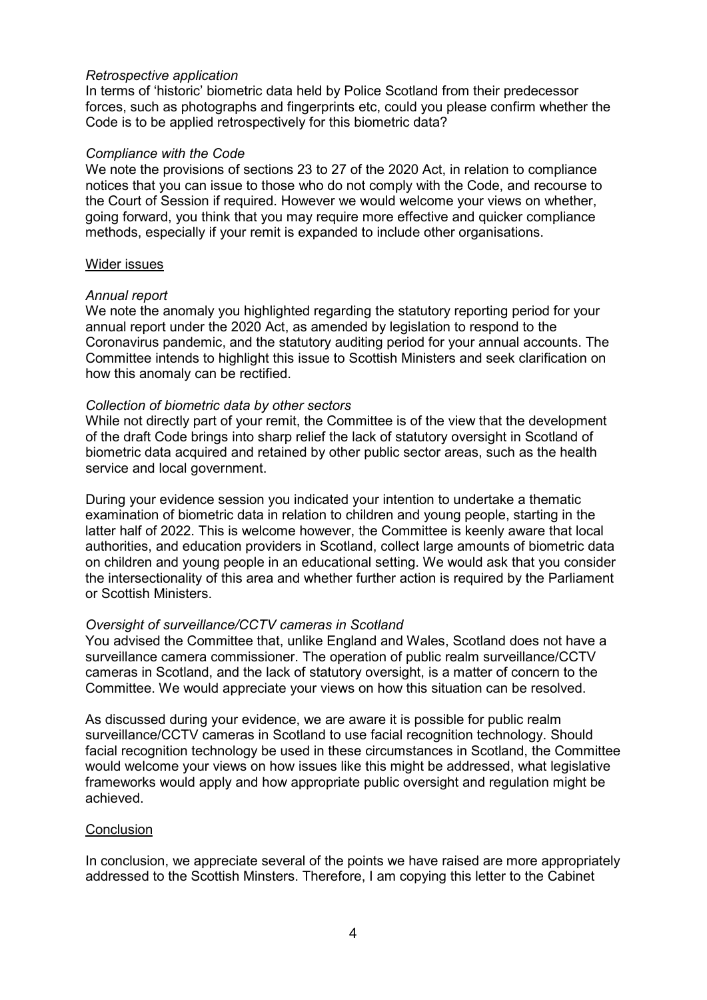## *Retrospective application*

In terms of 'historic' biometric data held by Police Scotland from their predecessor forces, such as photographs and fingerprints etc, could you please confirm whether the Code is to be applied retrospectively for this biometric data?

## *Compliance with the Code*

We note the provisions of sections 23 to 27 of the 2020 Act, in relation to compliance notices that you can issue to those who do not comply with the Code, and recourse to the Court of Session if required. However we would welcome your views on whether, going forward, you think that you may require more effective and quicker compliance methods, especially if your remit is expanded to include other organisations.

## Wider issues

## *Annual report*

We note the anomaly you highlighted regarding the statutory reporting period for your annual report under the 2020 Act, as amended by legislation to respond to the Coronavirus pandemic, and the statutory auditing period for your annual accounts. The Committee intends to highlight this issue to Scottish Ministers and seek clarification on how this anomaly can be rectified.

## *Collection of biometric data by other sectors*

While not directly part of your remit, the Committee is of the view that the development of the draft Code brings into sharp relief the lack of statutory oversight in Scotland of biometric data acquired and retained by other public sector areas, such as the health service and local government.

During your evidence session you indicated your intention to undertake a thematic examination of biometric data in relation to children and young people, starting in the latter half of 2022. This is welcome however, the Committee is keenly aware that local authorities, and education providers in Scotland, collect large amounts of biometric data on children and young people in an educational setting. We would ask that you consider the intersectionality of this area and whether further action is required by the Parliament or Scottish Ministers.

# *Oversight of surveillance/CCTV cameras in Scotland*

You advised the Committee that, unlike England and Wales, Scotland does not have a surveillance camera commissioner. The operation of public realm surveillance/CCTV cameras in Scotland, and the lack of statutory oversight, is a matter of concern to the Committee. We would appreciate your views on how this situation can be resolved.

As discussed during your evidence, we are aware it is possible for public realm surveillance/CCTV cameras in Scotland to use facial recognition technology. Should facial recognition technology be used in these circumstances in Scotland, the Committee would welcome your views on how issues like this might be addressed, what legislative frameworks would apply and how appropriate public oversight and regulation might be achieved.

# **Conclusion**

In conclusion, we appreciate several of the points we have raised are more appropriately addressed to the Scottish Minsters. Therefore, I am copying this letter to the Cabinet